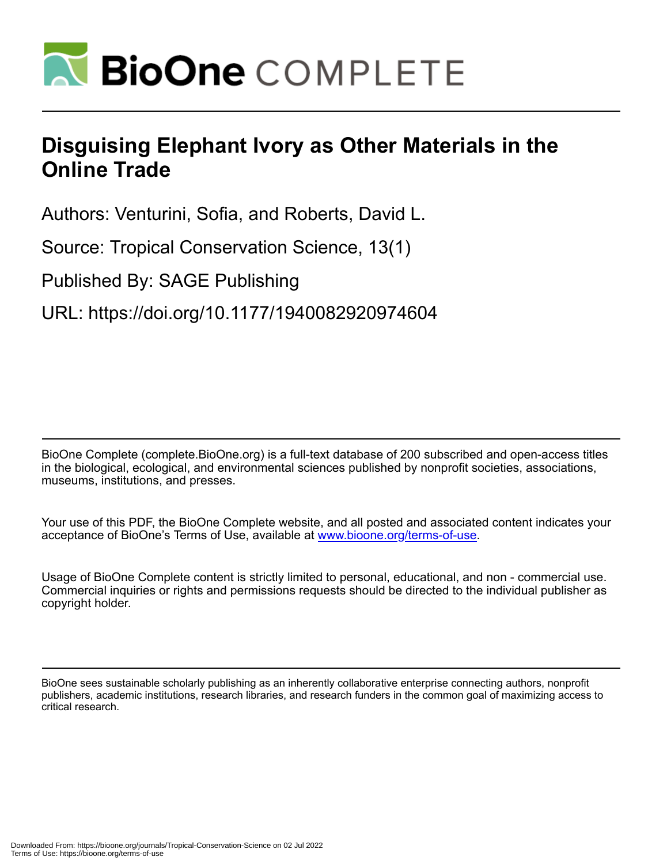

# **Disguising Elephant Ivory as Other Materials in the Online Trade**

Authors: Venturini, Sofia, and Roberts, David L.

Source: Tropical Conservation Science, 13(1)

Published By: SAGE Publishing

URL: https://doi.org/10.1177/1940082920974604

BioOne Complete (complete.BioOne.org) is a full-text database of 200 subscribed and open-access titles in the biological, ecological, and environmental sciences published by nonprofit societies, associations, museums, institutions, and presses.

Your use of this PDF, the BioOne Complete website, and all posted and associated content indicates your acceptance of BioOne's Terms of Use, available at www.bioone.org/terms-of-use.

Usage of BioOne Complete content is strictly limited to personal, educational, and non - commercial use. Commercial inquiries or rights and permissions requests should be directed to the individual publisher as copyright holder.

BioOne sees sustainable scholarly publishing as an inherently collaborative enterprise connecting authors, nonprofit publishers, academic institutions, research libraries, and research funders in the common goal of maximizing access to critical research.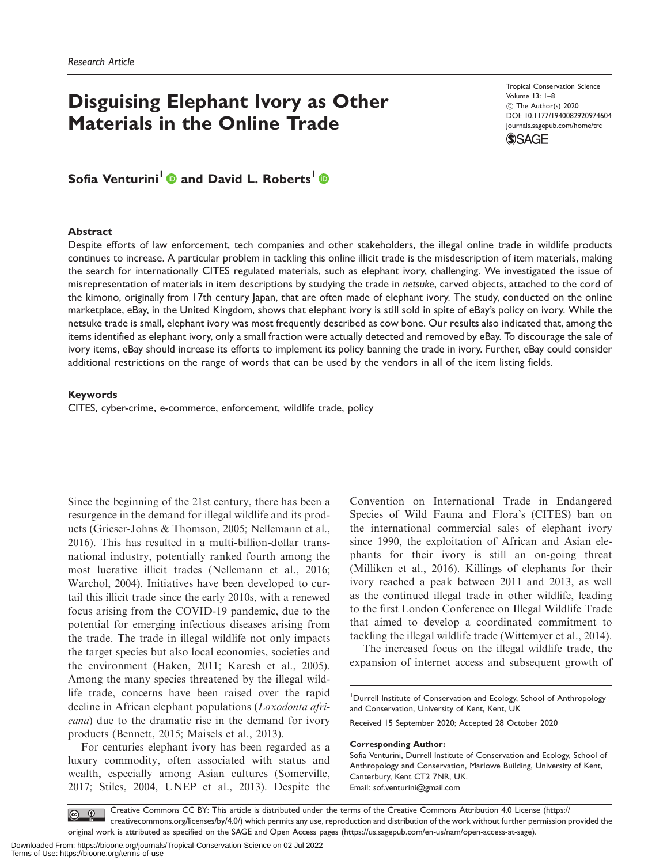# Disguising Elephant Ivory as Other Materials in the Online Trade

Tropical Conservation Science Volume 13: 1–8  $©$  The Author(s) 2020 [DOI: 10.1177/1940082920974604](http://dx.doi.org/10.1177/1940082920974604) <journals.sagepub.com/home/trc>



Sofia Venturini<sup>1</sup> and David L. Roberts<sup>1</sup> <sup>®</sup>

#### Abstract

Despite efforts of law enforcement, tech companies and other stakeholders, the illegal online trade in wildlife products continues to increase. A particular problem in tackling this online illicit trade is the misdescription of item materials, making the search for internationally CITES regulated materials, such as elephant ivory, challenging. We investigated the issue of misrepresentation of materials in item descriptions by studying the trade in netsuke, carved objects, attached to the cord of the kimono, originally from 17th century Japan, that are often made of elephant ivory. The study, conducted on the online marketplace, eBay, in the United Kingdom, shows that elephant ivory is still sold in spite of eBay's policy on ivory. While the netsuke trade is small, elephant ivory was most frequently described as cow bone. Our results also indicated that, among the items identified as elephant ivory, only a small fraction were actually detected and removed by eBay. To discourage the sale of ivory items, eBay should increase its efforts to implement its policy banning the trade in ivory. Further, eBay could consider additional restrictions on the range of words that can be used by the vendors in all of the item listing fields.

#### Keywords

CITES, cyber-crime, e-commerce, enforcement, wildlife trade, policy

Since the beginning of the 21st century, there has been a resurgence in the demand for illegal wildlife and its products (Grieser-Johns & Thomson, 2005; Nellemann et al., 2016). This has resulted in a multi-billion-dollar transnational industry, potentially ranked fourth among the most lucrative illicit trades (Nellemann et al., 2016; Warchol, 2004). Initiatives have been developed to curtail this illicit trade since the early 2010s, with a renewed focus arising from the COVID-19 pandemic, due to the potential for emerging infectious diseases arising from the trade. The trade in illegal wildlife not only impacts the target species but also local economies, societies and the environment (Haken, 2011; Karesh et al., 2005). Among the many species threatened by the illegal wildlife trade, concerns have been raised over the rapid decline in African elephant populations (*Loxodonta afri*cana) due to the dramatic rise in the demand for ivory products (Bennett, 2015; Maisels et al., 2013).

For centuries elephant ivory has been regarded as a luxury commodity, often associated with status and wealth, especially among Asian cultures (Somerville, 2017; Stiles, 2004, UNEP et al., 2013). Despite the

Convention on International Trade in Endangered Species of Wild Fauna and Flora's (CITES) ban on the international commercial sales of elephant ivory since 1990, the exploitation of African and Asian elephants for their ivory is still an on-going threat (Milliken et al., 2016). Killings of elephants for their ivory reached a peak between 2011 and 2013, as well as the continued illegal trade in other wildlife, leading to the first London Conference on Illegal Wildlife Trade that aimed to develop a coordinated commitment to tackling the illegal wildlife trade (Wittemyer et al., 2014).

The increased focus on the illegal wildlife trade, the expansion of internet access and subsequent growth of

<sup>1</sup>Durrell Institute of Conservation and Ecology, School of Anthropology and Conservation, University of Kent, Kent, UK

Received 15 September 2020; Accepted 28 October 2020

#### Corresponding Author:

Sofia Venturini, Durrell Institute of Conservation and Ecology, School of Anthropology and Conservation, Marlowe Building, University of Kent, Canterbury, Kent CT2 7NR, UK. Email: [sof.venturini@gmail.com](mailto:sof.venturini@gmail.com)

Creative Commons CC BY: This article is distributed under the terms of the Creative Commons Attribution 4.0 License (https:// creativecommons.org/licenses/by/4.0/) which permits any use, reproduction and distribution of the work without further permission provided the original work is attributed as specified on the SAGE and Open Access pages (https://us.sagepub.com/en-us/nam/open-access-at-sage).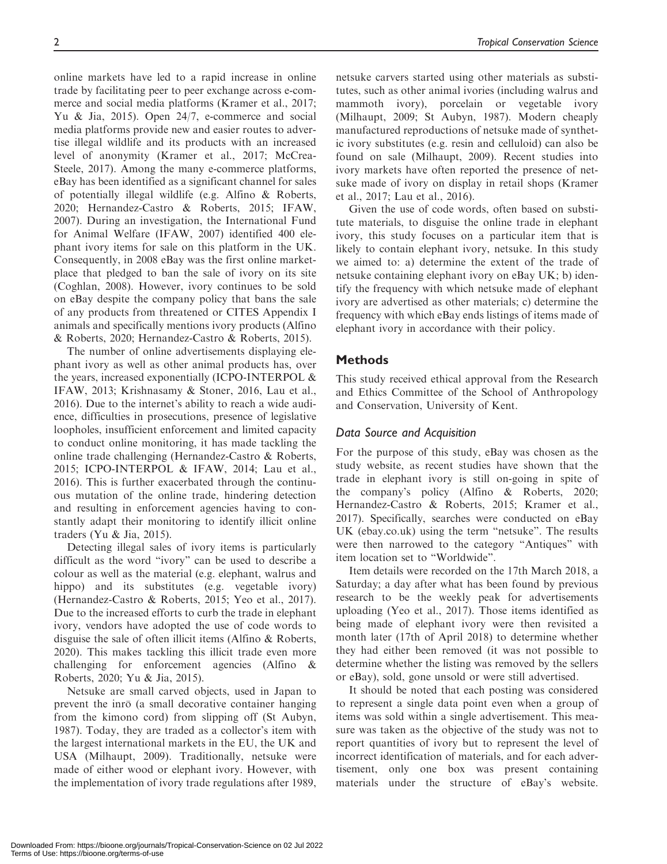online markets have led to a rapid increase in online trade by facilitating peer to peer exchange across e-commerce and social media platforms (Kramer et al., 2017; Yu & Jia, 2015). Open 24/7, e-commerce and social media platforms provide new and easier routes to advertise illegal wildlife and its products with an increased level of anonymity (Kramer et al., 2017; McCrea-Steele, 2017). Among the many e-commerce platforms, eBay has been identified as a significant channel for sales of potentially illegal wildlife (e.g. Alfino & Roberts, 2020; Hernandez-Castro & Roberts, 2015; IFAW, 2007). During an investigation, the International Fund for Animal Welfare (IFAW, 2007) identified 400 elephant ivory items for sale on this platform in the UK. Consequently, in 2008 eBay was the first online marketplace that pledged to ban the sale of ivory on its site (Coghlan, 2008). However, ivory continues to be sold on eBay despite the company policy that bans the sale of any products from threatened or CITES Appendix I animals and specifically mentions ivory products (Alfino

& Roberts, 2020; Hernandez-Castro & Roberts, 2015). The number of online advertisements displaying elephant ivory as well as other animal products has, over the years, increased exponentially (ICPO-INTERPOL & IFAW, 2013; Krishnasamy & Stoner, 2016, Lau et al., 2016). Due to the internet's ability to reach a wide audience, difficulties in prosecutions, presence of legislative loopholes, insufficient enforcement and limited capacity to conduct online monitoring, it has made tackling the online trade challenging (Hernandez-Castro & Roberts, 2015; ICPO-INTERPOL & IFAW, 2014; Lau et al., 2016). This is further exacerbated through the continuous mutation of the online trade, hindering detection and resulting in enforcement agencies having to constantly adapt their monitoring to identify illicit online traders (Yu & Jia, 2015).

Detecting illegal sales of ivory items is particularly difficult as the word "ivory" can be used to describe a colour as well as the material (e.g. elephant, walrus and hippo) and its substitutes (e.g. vegetable ivory) (Hernandez-Castro & Roberts, 2015; Yeo et al., 2017). Due to the increased efforts to curb the trade in elephant ivory, vendors have adopted the use of code words to disguise the sale of often illicit items (Alfino & Roberts, 2020). This makes tackling this illicit trade even more challenging for enforcement agencies (Alfino & Roberts, 2020; Yu & Jia, 2015).

Netsuke are small carved objects, used in Japan to prevent the inro (a small decorative container hanging from the kimono cord) from slipping off (St Aubyn, 1987). Today, they are traded as a collector's item with the largest international markets in the EU, the UK and USA (Milhaupt, 2009). Traditionally, netsuke were made of either wood or elephant ivory. However, with the implementation of ivory trade regulations after 1989,

netsuke carvers started using other materials as substitutes, such as other animal ivories (including walrus and mammoth ivory), porcelain or vegetable ivory (Milhaupt, 2009; St Aubyn, 1987). Modern cheaply manufactured reproductions of netsuke made of synthetic ivory substitutes (e.g. resin and celluloid) can also be found on sale (Milhaupt, 2009). Recent studies into ivory markets have often reported the presence of netsuke made of ivory on display in retail shops (Kramer et al., 2017; Lau et al., 2016).

Given the use of code words, often based on substitute materials, to disguise the online trade in elephant ivory, this study focuses on a particular item that is likely to contain elephant ivory, netsuke. In this study we aimed to: a) determine the extent of the trade of netsuke containing elephant ivory on eBay UK; b) identify the frequency with which netsuke made of elephant ivory are advertised as other materials; c) determine the frequency with which eBay ends listings of items made of elephant ivory in accordance with their policy.

# **Methods**

This study received ethical approval from the Research and Ethics Committee of the School of Anthropology and Conservation, University of Kent.

# Data Source and Acquisition

For the purpose of this study, eBay was chosen as the study website, as recent studies have shown that the trade in elephant ivory is still on-going in spite of the company's policy (Alfino & Roberts, 2020; Hernandez-Castro & Roberts, 2015; Kramer et al., 2017). Specifically, searches were conducted on eBay UK (ebay.co.uk) using the term "netsuke". The results were then narrowed to the category "Antiques" with item location set to "Worldwide".

Item details were recorded on the 17th March 2018, a Saturday; a day after what has been found by previous research to be the weekly peak for advertisements uploading (Yeo et al., 2017). Those items identified as being made of elephant ivory were then revisited a month later (17th of April 2018) to determine whether they had either been removed (it was not possible to determine whether the listing was removed by the sellers or eBay), sold, gone unsold or were still advertised.

It should be noted that each posting was considered to represent a single data point even when a group of items was sold within a single advertisement. This measure was taken as the objective of the study was not to report quantities of ivory but to represent the level of incorrect identification of materials, and for each advertisement, only one box was present containing materials under the structure of eBay's website.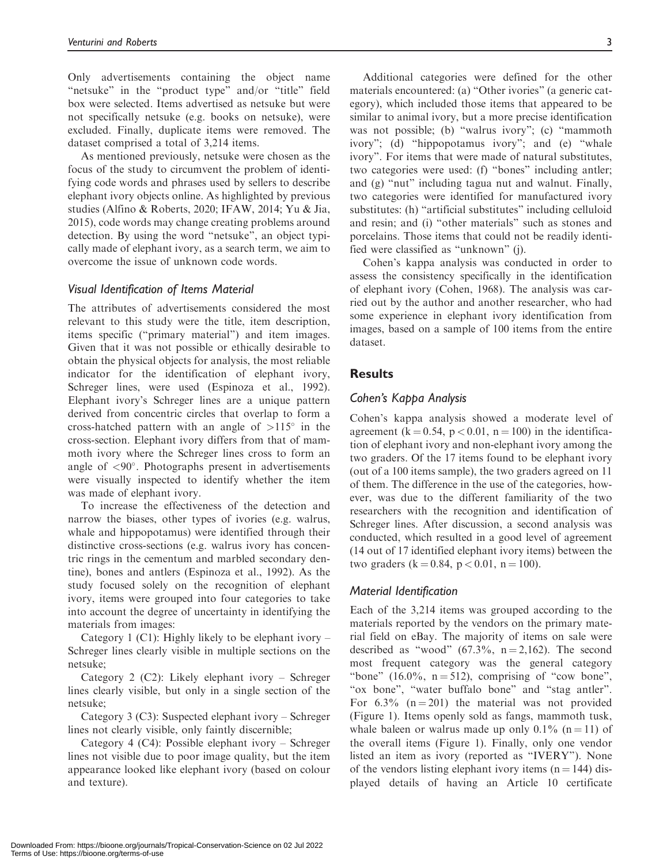Only advertisements containing the object name "netsuke" in the "product type" and/or "title" field box were selected. Items advertised as netsuke but were not specifically netsuke (e.g. books on netsuke), were excluded. Finally, duplicate items were removed. The dataset comprised a total of 3,214 items.

As mentioned previously, netsuke were chosen as the focus of the study to circumvent the problem of identifying code words and phrases used by sellers to describe elephant ivory objects online. As highlighted by previous studies (Alfino & Roberts, 2020; IFAW, 2014; Yu & Jia, 2015), code words may change creating problems around detection. By using the word "netsuke", an object typically made of elephant ivory, as a search term, we aim to overcome the issue of unknown code words.

### Visual Identification of Items Material

The attributes of advertisements considered the most relevant to this study were the title, item description, items specific ("primary material") and item images. Given that it was not possible or ethically desirable to obtain the physical objects for analysis, the most reliable indicator for the identification of elephant ivory, Schreger lines, were used (Espinoza et al., 1992). Elephant ivory's Schreger lines are a unique pattern derived from concentric circles that overlap to form a cross-hatched pattern with an angle of  $>115^\circ$  in the cross-section. Elephant ivory differs from that of mammoth ivory where the Schreger lines cross to form an angle of  $\langle 90^\circ \rangle$ . Photographs present in advertisements were visually inspected to identify whether the item was made of elephant ivory.

To increase the effectiveness of the detection and narrow the biases, other types of ivories (e.g. walrus, whale and hippopotamus) were identified through their distinctive cross-sections (e.g. walrus ivory has concentric rings in the cementum and marbled secondary dentine), bones and antlers (Espinoza et al., 1992). As the study focused solely on the recognition of elephant ivory, items were grouped into four categories to take into account the degree of uncertainty in identifying the materials from images:

Category 1 (C1): Highly likely to be elephant ivory  $-$ Schreger lines clearly visible in multiple sections on the netsuke;

Category 2 (C2): Likely elephant ivory – Schreger lines clearly visible, but only in a single section of the netsuke;

Category 3 (C3): Suspected elephant ivory – Schreger lines not clearly visible, only faintly discernible;

Category 4 (C4): Possible elephant ivory – Schreger lines not visible due to poor image quality, but the item appearance looked like elephant ivory (based on colour and texture).

Additional categories were defined for the other materials encountered: (a) "Other ivories" (a generic category), which included those items that appeared to be similar to animal ivory, but a more precise identification was not possible; (b) "walrus ivory"; (c) "mammoth ivory"; (d) "hippopotamus ivory"; and (e) "whale ivory". For items that were made of natural substitutes, two categories were used: (f) "bones" including antler; and (g) "nut" including tagua nut and walnut. Finally, two categories were identified for manufactured ivory substitutes: (h) "artificial substitutes" including celluloid and resin; and (i) "other materials" such as stones and porcelains. Those items that could not be readily identified were classified as "unknown" (j).

Cohen's kappa analysis was conducted in order to assess the consistency specifically in the identification of elephant ivory (Cohen, 1968). The analysis was carried out by the author and another researcher, who had some experience in elephant ivory identification from images, based on a sample of 100 items from the entire dataset.

## **Results**

# Cohen's Kappa Analysis

Cohen's kappa analysis showed a moderate level of agreement (k = 0.54, p < 0.01, n = 100) in the identification of elephant ivory and non-elephant ivory among the two graders. Of the 17 items found to be elephant ivory (out of a 100 items sample), the two graders agreed on 11 of them. The difference in the use of the categories, however, was due to the different familiarity of the two researchers with the recognition and identification of Schreger lines. After discussion, a second analysis was conducted, which resulted in a good level of agreement (14 out of 17 identified elephant ivory items) between the two graders ( $k = 0.84$ ,  $p < 0.01$ ,  $n = 100$ ).

### Material Identification

Each of the 3,214 items was grouped according to the materials reported by the vendors on the primary material field on eBay. The majority of items on sale were described as "wood"  $(67.3\%, n=2,162)$ . The second most frequent category was the general category "bone" (16.0%,  $n = 512$ ), comprising of "cow bone", "ox bone", "water buffalo bone" and "stag antler". For  $6.3\%$  (n = 201) the material was not provided (Figure 1). Items openly sold as fangs, mammoth tusk, whale baleen or walrus made up only  $0.1\%$  (n = 11) of the overall items (Figure 1). Finally, only one vendor listed an item as ivory (reported as "IVERY"). None of the vendors listing elephant ivory items  $(n = 144)$  displayed details of having an Article 10 certificate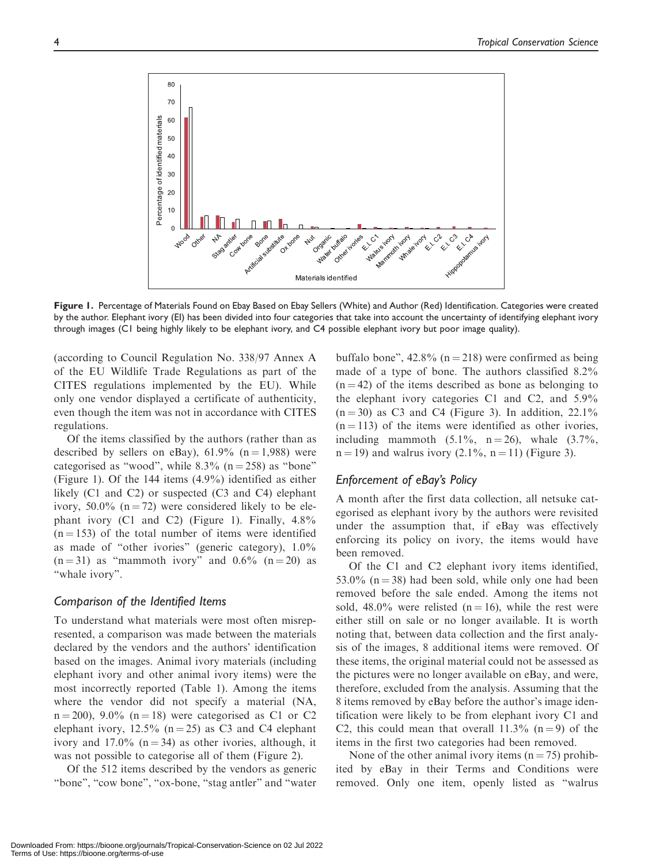

Figure 1. Percentage of Materials Found on Ebay Based on Ebay Sellers (White) and Author (Red) Identification. Categories were created by the author. Elephant ivory (EI) has been divided into four categories that take into account the uncertainty of identifying elephant ivory through images (C1 being highly likely to be elephant ivory, and C4 possible elephant ivory but poor image quality).

(according to Council Regulation No. 338/97 Annex A of the EU Wildlife Trade Regulations as part of the CITES regulations implemented by the EU). While only one vendor displayed a certificate of authenticity, even though the item was not in accordance with CITES regulations.

Of the items classified by the authors (rather than as described by sellers on eBay),  $61.9\%$  (n = 1,988) were categorised as "wood", while  $8.3\%$  (n = 258) as "bone" (Figure 1). Of the 144 items (4.9%) identified as either likely (C1 and C2) or suspected (C3 and C4) elephant ivory,  $50.0\%$  (n = 72) were considered likely to be elephant ivory (C1 and C2) (Figure 1). Finally, 4.8%  $(n = 153)$  of the total number of items were identified as made of "other ivories" (generic category), 1.0%  $(n = 31)$  as "mammoth ivory" and 0.6%  $(n = 20)$  as "whale ivory".

## Comparison of the Identified Items

To understand what materials were most often misrepresented, a comparison was made between the materials declared by the vendors and the authors' identification based on the images. Animal ivory materials (including elephant ivory and other animal ivory items) were the most incorrectly reported (Table 1). Among the items where the vendor did not specify a material (NA,  $n = 200$ , 9.0% ( $n = 18$ ) were categorised as C1 or C2 elephant ivory, 12.5% ( $n = 25$ ) as C3 and C4 elephant ivory and 17.0% ( $n = 34$ ) as other ivories, although, it was not possible to categorise all of them (Figure 2).

Of the 512 items described by the vendors as generic "bone", "cow bone", "ox-bone, "stag antler" and "water buffalo bone",  $42.8\%$  (n = 218) were confirmed as being made of a type of bone. The authors classified 8.2%  $(n = 42)$  of the items described as bone as belonging to the elephant ivory categories C1 and C2, and 5.9%  $(n = 30)$  as C3 and C4 (Figure 3). In addition, 22.1%  $(n = 113)$  of the items were identified as other ivories, including mammoth  $(5.1\%, n = 26)$ , whale  $(3.7\%,$  $n = 19$ ) and walrus ivory (2.1%,  $n = 11$ ) (Figure 3).

# Enforcement of eBay's Policy

A month after the first data collection, all netsuke categorised as elephant ivory by the authors were revisited under the assumption that, if eBay was effectively enforcing its policy on ivory, the items would have been removed.

Of the C1 and C2 elephant ivory items identified, 53.0% ( $n = 38$ ) had been sold, while only one had been removed before the sale ended. Among the items not sold, 48.0% were relisted  $(n = 16)$ , while the rest were either still on sale or no longer available. It is worth noting that, between data collection and the first analysis of the images, 8 additional items were removed. Of these items, the original material could not be assessed as the pictures were no longer available on eBay, and were, therefore, excluded from the analysis. Assuming that the 8 items removed by eBay before the author's image identification were likely to be from elephant ivory C1 and C2, this could mean that overall  $11.3\%$  (n = 9) of the items in the first two categories had been removed.

None of the other animal ivory items  $(n = 75)$  prohibited by eBay in their Terms and Conditions were removed. Only one item, openly listed as "walrus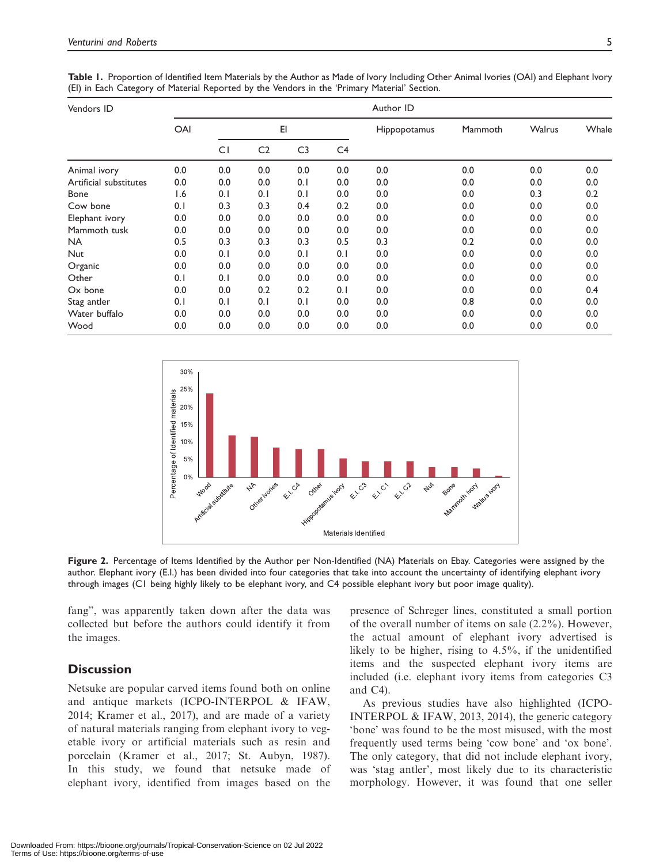| Vendors ID             | Author ID |     |                |                |     |              |         |        |       |
|------------------------|-----------|-----|----------------|----------------|-----|--------------|---------|--------|-------|
|                        | OAI       | E1  |                |                |     | Hippopotamus | Mammoth | Walrus | Whale |
|                        |           | CI  | C <sub>2</sub> | C <sub>3</sub> | C4  |              |         |        |       |
| Animal ivory           | 0.0       | 0.0 | 0.0            | 0.0            | 0.0 | 0.0          | 0.0     | 0.0    | 0.0   |
| Artificial substitutes | 0.0       | 0.0 | 0.0            | 0.1            | 0.0 | 0.0          | 0.0     | 0.0    | 0.0   |
| <b>Bone</b>            | 1.6       | 0.1 | 0.1            | 0.1            | 0.0 | 0.0          | 0.0     | 0.3    | 0.2   |
| Cow bone               | 0.1       | 0.3 | 0.3            | 0.4            | 0.2 | 0.0          | 0.0     | 0.0    | 0.0   |
| Elephant ivory         | 0.0       | 0.0 | 0.0            | 0.0            | 0.0 | 0.0          | 0.0     | 0.0    | 0.0   |
| Mammoth tusk           | 0.0       | 0.0 | 0.0            | 0.0            | 0.0 | 0.0          | 0.0     | 0.0    | 0.0   |
| <b>NA</b>              | 0.5       | 0.3 | 0.3            | 0.3            | 0.5 | 0.3          | 0.2     | 0.0    | 0.0   |
| <b>Nut</b>             | 0.0       | 0.1 | 0.0            | 0.1            | 0.1 | 0.0          | 0.0     | 0.0    | 0.0   |
| Organic                | 0.0       | 0.0 | 0.0            | 0.0            | 0.0 | 0.0          | 0.0     | 0.0    | 0.0   |
| Other                  | 0.1       | 0.1 | 0.0            | 0.0            | 0.0 | 0.0          | 0.0     | 0.0    | 0.0   |
| Ox bone                | 0.0       | 0.0 | 0.2            | 0.2            | 0.1 | 0.0          | 0.0     | 0.0    | 0.4   |
| Stag antler            | 0.1       | 0.1 | 0.1            | 0.1            | 0.0 | 0.0          | 0.8     | 0.0    | 0.0   |
| Water buffalo          | 0.0       | 0.0 | 0.0            | 0.0            | 0.0 | 0.0          | 0.0     | 0.0    | 0.0   |
| Wood                   | 0.0       | 0.0 | 0.0            | 0.0            | 0.0 | 0.0          | 0.0     | 0.0    | 0.0   |

Table 1. Proportion of Identified Item Materials by the Author as Made of Ivory Including Other Animal Ivories (OAI) and Elephant Ivory (EI) in Each Category of Material Reported by the Vendors in the 'Primary Material' Section.



Figure 2. Percentage of Items Identified by the Author per Non-Identified (NA) Materials on Ebay. Categories were assigned by the author. Elephant ivory (E.I.) has been divided into four categories that take into account the uncertainty of identifying elephant ivory through images (C1 being highly likely to be elephant ivory, and C4 possible elephant ivory but poor image quality).

fang", was apparently taken down after the data was collected but before the authors could identify it from the images.

# **Discussion**

Netsuke are popular carved items found both on online and antique markets (ICPO-INTERPOL & IFAW, 2014; Kramer et al., 2017), and are made of a variety of natural materials ranging from elephant ivory to vegetable ivory or artificial materials such as resin and porcelain (Kramer et al., 2017; St. Aubyn, 1987). In this study, we found that netsuke made of elephant ivory, identified from images based on the

presence of Schreger lines, constituted a small portion of the overall number of items on sale (2.2%). However, the actual amount of elephant ivory advertised is likely to be higher, rising to 4.5%, if the unidentified items and the suspected elephant ivory items are included (i.e. elephant ivory items from categories C3 and C4).

As previous studies have also highlighted (ICPO-INTERPOL & IFAW, 2013, 2014), the generic category 'bone' was found to be the most misused, with the most frequently used terms being 'cow bone' and 'ox bone'. The only category, that did not include elephant ivory, was 'stag antler', most likely due to its characteristic morphology. However, it was found that one seller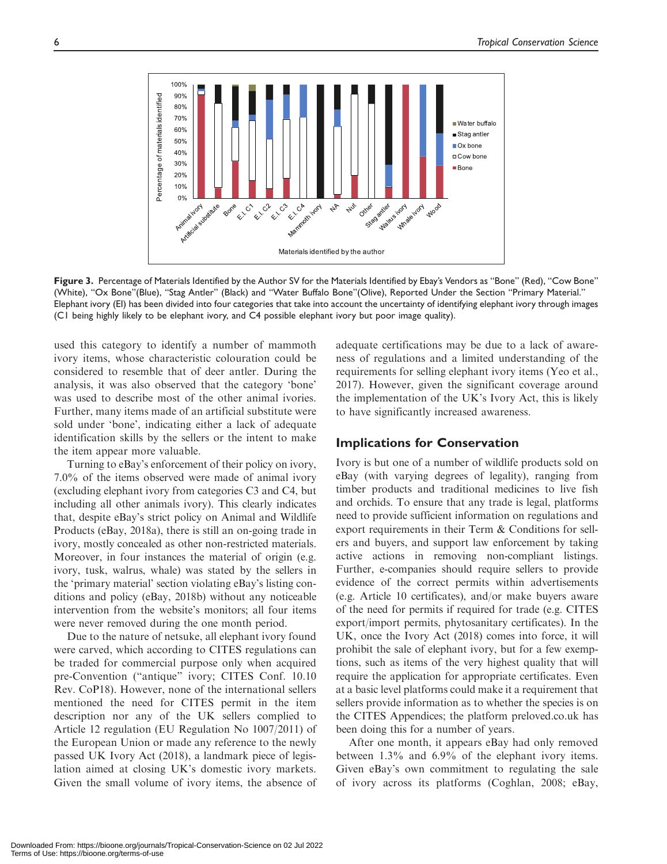

Figure 3. Percentage of Materials Identified by the Author SV for the Materials Identified by Ebay's Vendors as "Bone" (Red), "Cow Bone" (White), "Ox Bone"(Blue), "Stag Antler" (Black) and "Water Buffalo Bone"(Olive), Reported Under the Section "Primary Material." Elephant ivory (EI) has been divided into four categories that take into account the uncertainty of identifying elephant ivory through images (C1 being highly likely to be elephant ivory, and C4 possible elephant ivory but poor image quality).

used this category to identify a number of mammoth ivory items, whose characteristic colouration could be considered to resemble that of deer antler. During the analysis, it was also observed that the category 'bone' was used to describe most of the other animal ivories. Further, many items made of an artificial substitute were sold under 'bone', indicating either a lack of adequate identification skills by the sellers or the intent to make the item appear more valuable.

Turning to eBay's enforcement of their policy on ivory, 7.0% of the items observed were made of animal ivory (excluding elephant ivory from categories C3 and C4, but including all other animals ivory). This clearly indicates that, despite eBay's strict policy on Animal and Wildlife Products (eBay, 2018a), there is still an on-going trade in ivory, mostly concealed as other non-restricted materials. Moreover, in four instances the material of origin (e.g. ivory, tusk, walrus, whale) was stated by the sellers in the 'primary material' section violating eBay's listing conditions and policy (eBay, 2018b) without any noticeable intervention from the website's monitors; all four items were never removed during the one month period.

Due to the nature of netsuke, all elephant ivory found were carved, which according to CITES regulations can be traded for commercial purpose only when acquired pre-Convention ("antique" ivory; CITES Conf. 10.10 Rev. CoP18). However, none of the international sellers mentioned the need for CITES permit in the item description nor any of the UK sellers complied to Article 12 regulation (EU Regulation No 1007/2011) of the European Union or made any reference to the newly passed UK Ivory Act (2018), a landmark piece of legislation aimed at closing UK's domestic ivory markets. Given the small volume of ivory items, the absence of adequate certifications may be due to a lack of awareness of regulations and a limited understanding of the requirements for selling elephant ivory items (Yeo et al., 2017). However, given the significant coverage around the implementation of the UK's Ivory Act, this is likely to have significantly increased awareness.

### Implications for Conservation

Ivory is but one of a number of wildlife products sold on eBay (with varying degrees of legality), ranging from timber products and traditional medicines to live fish and orchids. To ensure that any trade is legal, platforms need to provide sufficient information on regulations and export requirements in their Term & Conditions for sellers and buyers, and support law enforcement by taking active actions in removing non-compliant listings. Further, e-companies should require sellers to provide evidence of the correct permits within advertisements (e.g. Article 10 certificates), and/or make buyers aware of the need for permits if required for trade (e.g. CITES export/import permits, phytosanitary certificates). In the UK, once the Ivory Act (2018) comes into force, it will prohibit the sale of elephant ivory, but for a few exemptions, such as items of the very highest quality that will require the application for appropriate certificates. Even at a basic level platforms could make it a requirement that sellers provide information as to whether the species is on the CITES Appendices; the platform preloved.co.uk has been doing this for a number of years.

After one month, it appears eBay had only removed between 1.3% and 6.9% of the elephant ivory items. Given eBay's own commitment to regulating the sale of ivory across its platforms (Coghlan, 2008; eBay,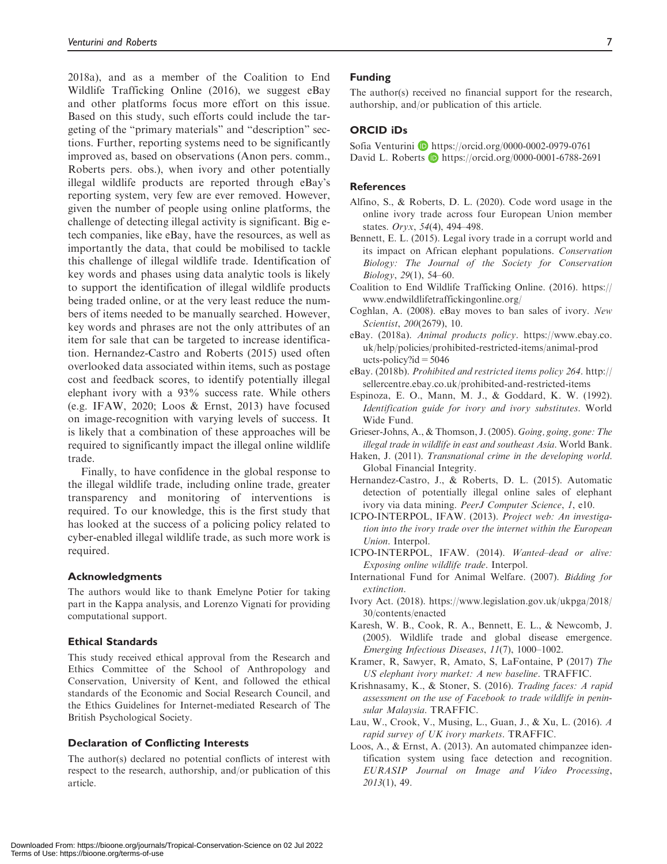2018a), and as a member of the Coalition to End Wildlife Trafficking Online (2016), we suggest eBay and other platforms focus more effort on this issue. Based on this study, such efforts could include the targeting of the "primary materials" and "description" sections. Further, reporting systems need to be significantly improved as, based on observations (Anon pers. comm., Roberts pers. obs.), when ivory and other potentially illegal wildlife products are reported through eBay's reporting system, very few are ever removed. However, given the number of people using online platforms, the challenge of detecting illegal activity is significant. Big etech companies, like eBay, have the resources, as well as importantly the data, that could be mobilised to tackle this challenge of illegal wildlife trade. Identification of key words and phases using data analytic tools is likely to support the identification of illegal wildlife products being traded online, or at the very least reduce the numbers of items needed to be manually searched. However, key words and phrases are not the only attributes of an item for sale that can be targeted to increase identification. Hernandez-Castro and Roberts (2015) used often overlooked data associated within items, such as postage cost and feedback scores, to identify potentially illegal elephant ivory with a 93% success rate. While others (e.g. IFAW, 2020; Loos & Ernst, 2013) have focused on image-recognition with varying levels of success. It is likely that a combination of these approaches will be required to significantly impact the illegal online wildlife trade.

Finally, to have confidence in the global response to the illegal wildlife trade, including online trade, greater transparency and monitoring of interventions is required. To our knowledge, this is the first study that has looked at the success of a policing policy related to cyber-enabled illegal wildlife trade, as such more work is required.

#### Acknowledgments

The authors would like to thank Emelyne Potier for taking part in the Kappa analysis, and Lorenzo Vignati for providing computational support.

#### Ethical Standards

This study received ethical approval from the Research and Ethics Committee of the School of Anthropology and Conservation, University of Kent, and followed the ethical standards of the Economic and Social Research Council, and the Ethics Guidelines for Internet-mediated Research of The British Psychological Society.

#### Declaration of Conflicting Interests

The author(s) declared no potential conflicts of interest with respect to the research, authorship, and/or publication of this article.

#### Funding

The author(s) received no financial support for the research, authorship, and/or publication of this article.

#### ORCID iDs

Sofia Venturini **b** <https://orcid.org/0000-0002-0979-0761> David L. Roberts **D** <https://orcid.org/0000-0001-6788-2691>

#### **References**

- Alfino, S., & Roberts, D. L. (2020). Code word usage in the online ivory trade across four European Union member states. Oryx, 54(4), 494–498.
- Bennett, E. L. (2015). Legal ivory trade in a corrupt world and its impact on African elephant populations. Conservation Biology: The Journal of the Society for Conservation Biology, 29(1), 54–60.
- Coalition to End Wildlife Trafficking Online. (2016). [https://](https://www.endwildlifetraffickingonline.org/) [www.endwildlifetraffickingonline.org/](https://www.endwildlifetraffickingonline.org/)
- Coghlan, A. (2008). eBay moves to ban sales of ivory. New Scientist, 200(2679), 10.
- eBay. (2018a). Animal products policy. [https://www.ebay.co.](https://www.ebay.co.uk/help/policies/prohibited-restricted-items/animal-products-policy?id=5046) [uk/help/policies/prohibited-restricted-items/animal-prod](https://www.ebay.co.uk/help/policies/prohibited-restricted-items/animal-products-policy?id=5046) ucts-policy? $id = 5046$
- eBay. (2018b). Prohibited and restricted items policy 264. [http://](http://sellercentre.ebay.co.uk/prohibited-and-restricted-items) [sellercentre.ebay.co.uk/prohibited-and-restricted-items](http://sellercentre.ebay.co.uk/prohibited-and-restricted-items)
- Espinoza, E. O., Mann, M. J., & Goddard, K. W. (1992). Identification guide for ivory and ivory substitutes. World Wide Fund.
- Grieser-Johns, A., & Thomson, J. (2005). Going, going, gone: The illegal trade in wildlife in east and southeast Asia. World Bank.
- Haken, J. (2011). Transnational crime in the developing world. Global Financial Integrity.
- Hernandez-Castro, J., & Roberts, D. L. (2015). Automatic detection of potentially illegal online sales of elephant ivory via data mining. PeerJ Computer Science, 1, e10.
- ICPO-INTERPOL, IFAW. (2013). Project web: An investigation into the ivory trade over the internet within the European Union. Interpol.
- ICPO-INTERPOL, IFAW. (2014). Wanted–dead or alive: Exposing online wildlife trade. Interpol.
- International Fund for Animal Welfare. (2007). Bidding for extinction.
- Ivory Act. (2018). [https://www.legislation.gov.uk/ukpga/2018/](https://www.legislation.gov.uk/ukpga/2018/30/contents/enacted) [30/contents/enacted](https://www.legislation.gov.uk/ukpga/2018/30/contents/enacted)
- Karesh, W. B., Cook, R. A., Bennett, E. L., & Newcomb, J. (2005). Wildlife trade and global disease emergence. Emerging Infectious Diseases, 11(7), 1000–1002.
- Kramer, R, Sawyer, R, Amato, S, LaFontaine, P (2017) The US elephant ivory market: A new baseline. TRAFFIC.
- Krishnasamy, K., & Stoner, S. (2016). Trading faces: A rapid assessment on the use of Facebook to trade wildlife in peninsular Malaysia. TRAFFIC.
- Lau, W., Crook, V., Musing, L., Guan, J., & Xu, L. (2016). A rapid survey of UK ivory markets. TRAFFIC.
- Loos, A., & Ernst, A. (2013). An automated chimpanzee identification system using face detection and recognition. EURASIP Journal on Image and Video Processing,  $2013(1)$ , 49.